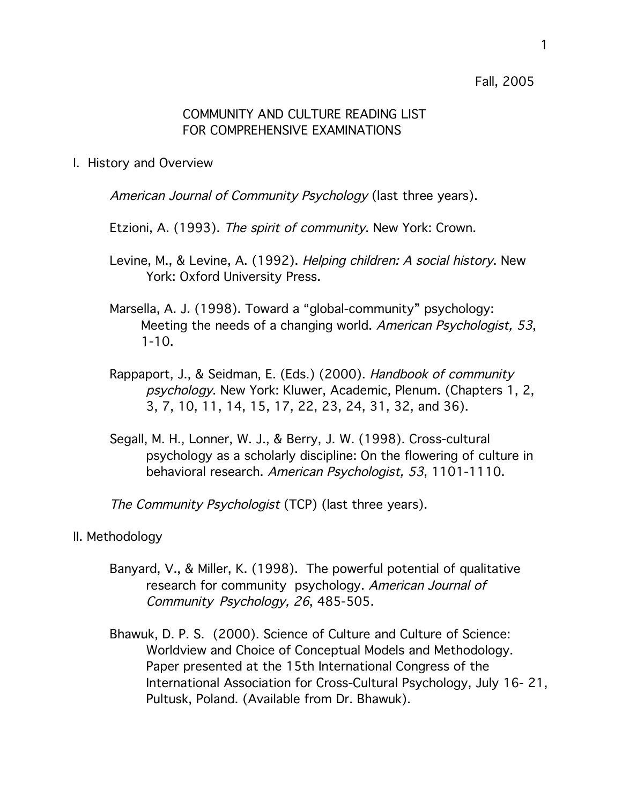Fall, 2005

## COMMUNITY AND CULTURE READING LIST FOR COMPREHENSIVE EXAMINATIONS

I. History and Overview

American Journal of Community Psychology (last three years).

Etzioni, A. (1993). The spirit of community. New York: Crown.

- Levine, M., & Levine, A. (1992). Helping children: A social history. New York: Oxford University Press.
- Marsella, A. J. (1998). Toward a "global-community" psychology: Meeting the needs of a changing world. American Psychologist, 53, 1-10.
- Rappaport, J., & Seidman, E. (Eds.) (2000). Handbook of community psychology. New York: Kluwer, Academic, Plenum. (Chapters 1, 2, 3, 7, 10, 11, 14, 15, 17, 22, 23, 24, 31, 32, and 36).
- Segall, M. H., Lonner, W. J., & Berry, J. W. (1998). Cross-cultural psychology as a scholarly discipline: On the flowering of culture in behavioral research. American Psychologist, 53, 1101-1110.

The Community Psychologist (TCP) (last three years).

- II. Methodology
	- Banyard, V., & Miller, K. (1998). The powerful potential of qualitative research for community psychology. American Journal of Community Psychology, 26, 485-505.
	- Bhawuk, D. P. S. (2000). Science of Culture and Culture of Science: Worldview and Choice of Conceptual Models and Methodology. Paper presented at the 15th International Congress of the International Association for Cross-Cultural Psychology, July 16- 21, Pultusk, Poland. (Available from Dr. Bhawuk).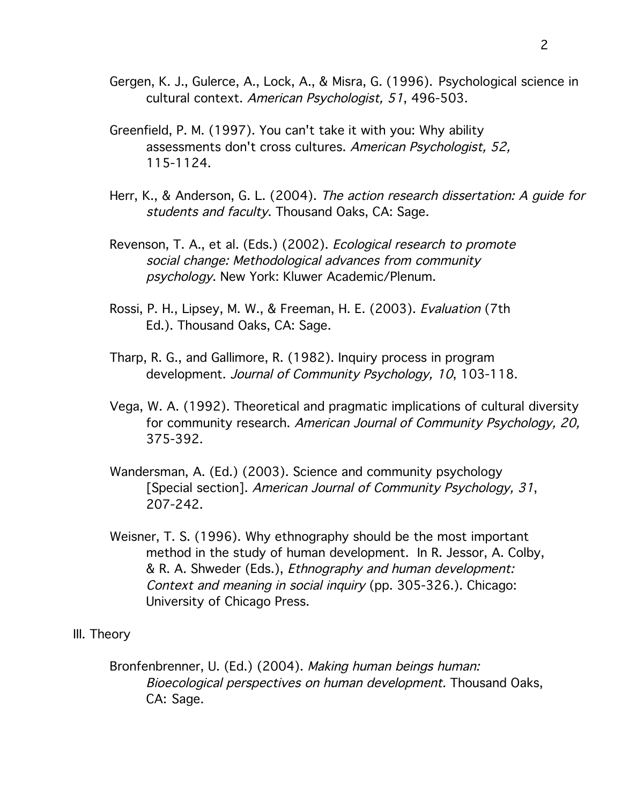- Gergen, K. J., Gulerce, A., Lock, A., & Misra, G. (1996). Psychological science in cultural context. American Psychologist, 51, 496-503.
- Greenfield, P. M. (1997). You can't take it with you: Why ability assessments don't cross cultures. American Psychologist, 52, 115-1124.
- Herr, K., & Anderson, G. L. (2004). The action research dissertation: A guide for students and faculty. Thousand Oaks, CA: Sage.
- Revenson, T. A., et al. (Eds.) (2002). *Ecological research to promote* social change: Methodological advances from community psychology. New York: Kluwer Academic/Plenum.
- Rossi, P. H., Lipsey, M. W., & Freeman, H. E. (2003). Evaluation (7th Ed.). Thousand Oaks, CA: Sage.
- Tharp, R. G., and Gallimore, R. (1982). Inquiry process in program development. Journal of Community Psychology, 10, 103-118.
- Vega, W. A. (1992). Theoretical and pragmatic implications of cultural diversity for community research. American Journal of Community Psychology, 20, 375-392.
- Wandersman, A. (Ed.) (2003). Science and community psychology [Special section]. American Journal of Community Psychology, 31, 207-242.
- Weisner, T. S. (1996). Why ethnography should be the most important method in the study of human development. In R. Jessor, A. Colby, & R. A. Shweder (Eds.), Ethnography and human development: Context and meaning in social inquiry (pp. 305-326.). Chicago: University of Chicago Press.
- III. Theory
	- Bronfenbrenner, U. (Ed.) (2004). Making human beings human: Bioecological perspectives on human development. Thousand Oaks, CA: Sage.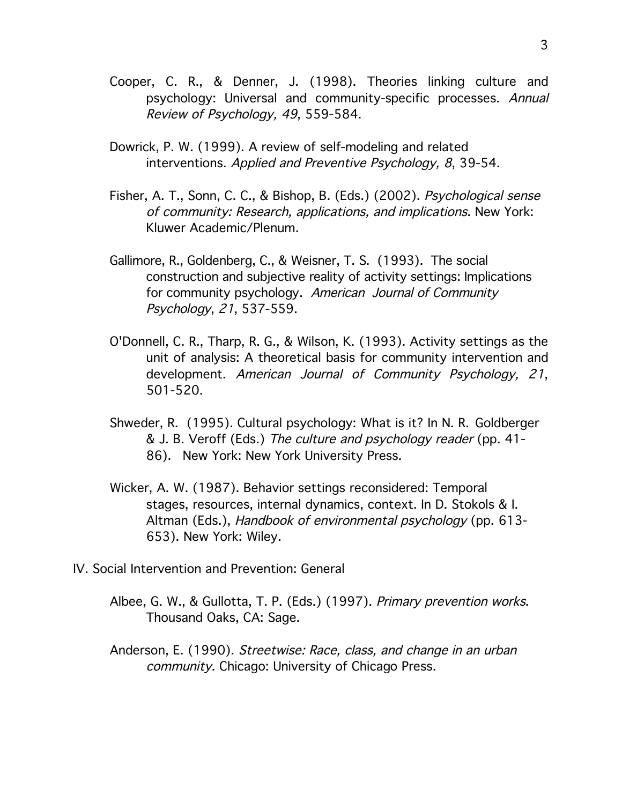- Cooper, C. R., & Denner, J. (1998). Theories linking culture and psychology: Universal and community-specific processes. Annual Review of Psychology, 49, 559-584.
- Dowrick, P. W. (1999). A review of self-modeling and related interventions. Applied and Preventive Psychology, 8, 39-54.
- Fisher, A. T., Sonn, C. C., & Bishop, B. (Eds.) (2002). Psychological sense of community: Research, applications, and implications. New York: Kluwer Academic/Plenum.
- Gallimore, R., Goldenberg, C., & Weisner, T. S. (1993). The social construction and subjective reality of activity settings: Implications for community psychology. American Journal of Community Psychology, 21, 537-559.
- O'Donnell, C. R., Tharp, R. G., & Wilson, K. (1993). Activity settings as the unit of analysis: A theoretical basis for community intervention and development. American Journal of Community Psychology, 21, 501-520.
- Shweder, R. (1995). Cultural psychology: What is it? In N. R. Goldberger & J. B. Veroff (Eds.) The culture and psychology reader (pp. 41- 86). New York: New York University Press.
- Wicker, A. W. (1987). Behavior settings reconsidered: Temporal stages, resources, internal dynamics, context. In D. Stokols & I. Altman (Eds.), Handbook of environmental psychology (pp. 613- 653). New York: Wiley.
- IV. Social Intervention and Prevention: General
	- Albee, G. W., & Gullotta, T. P. (Eds.) (1997). Primary prevention works. Thousand Oaks, CA: Sage.
	- Anderson, E. (1990). Streetwise: Race, class, and change in an urban community. Chicago: University of Chicago Press.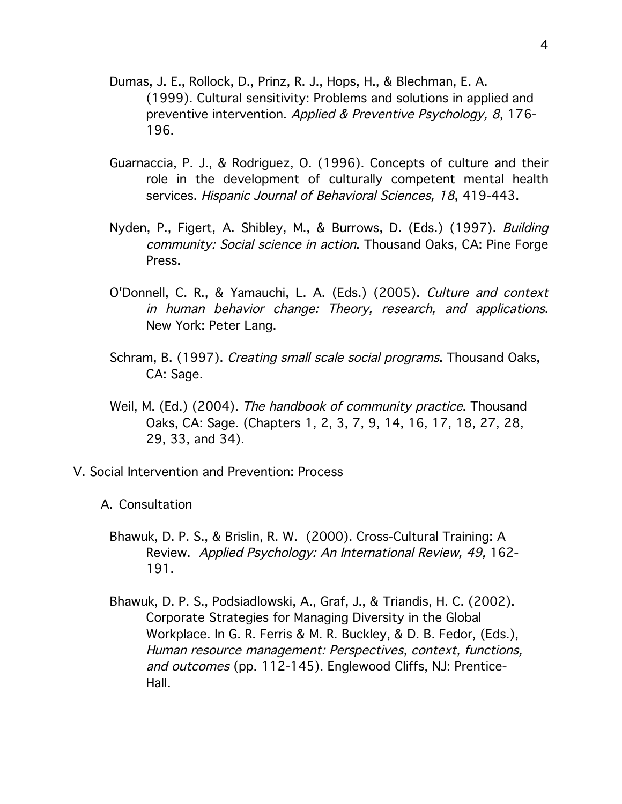- Dumas, J. E., Rollock, D., Prinz, R. J., Hops, H., & Blechman, E. A. (1999). Cultural sensitivity: Problems and solutions in applied and preventive intervention. Applied & Preventive Psychology, 8, 176- 196.
- Guarnaccia, P. J., & Rodriguez, O. (1996). Concepts of culture and their role in the development of culturally competent mental health services. Hispanic Journal of Behavioral Sciences, 18, 419-443.
- Nyden, P., Figert, A. Shibley, M., & Burrows, D. (Eds.) (1997). Building community: Social science in action. Thousand Oaks, CA: Pine Forge Press.
- O'Donnell, C. R., & Yamauchi, L. A. (Eds.) (2005). Culture and context in human behavior change: Theory, research, and applications. New York: Peter Lang.
- Schram, B. (1997). Creating small scale social programs. Thousand Oaks, CA: Sage.
- Weil, M. (Ed.) (2004). The handbook of community practice. Thousand Oaks, CA: Sage. (Chapters 1, 2, 3, 7, 9, 14, 16, 17, 18, 27, 28, 29, 33, and 34).
- V. Social Intervention and Prevention: Process
	- A. Consultation
		- Bhawuk, D. P. S., & Brislin, R. W. (2000). Cross-Cultural Training: A Review. Applied Psychology: An International Review, 49, 162- 191.
		- Bhawuk, D. P. S., Podsiadlowski, A., Graf, J., & Triandis, H. C. (2002). Corporate Strategies for Managing Diversity in the Global Workplace. In G. R. Ferris & M. R. Buckley, & D. B. Fedor, (Eds.), Human resource management: Perspectives, context, functions, and outcomes (pp. 112-145). Englewood Cliffs, NJ: Prentice-Hall.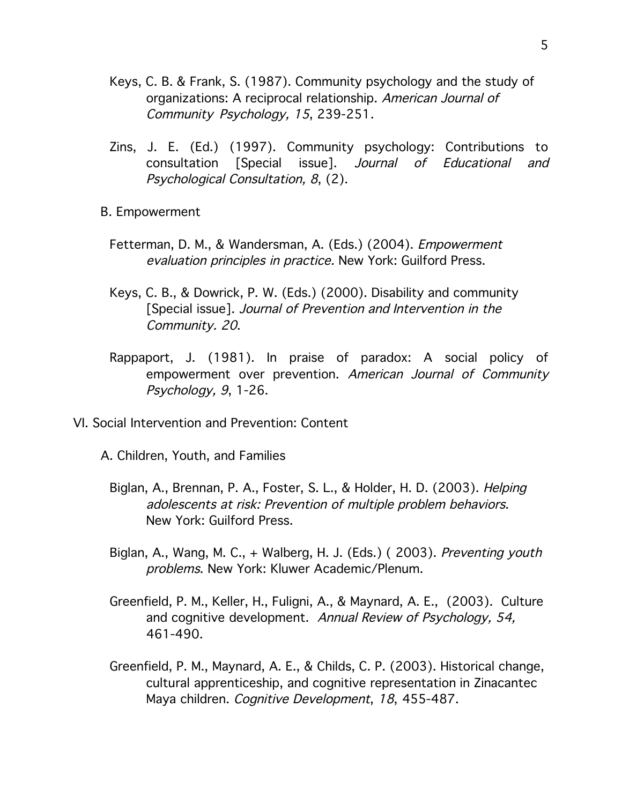- Keys, C. B. & Frank, S. (1987). Community psychology and the study of organizations: A reciprocal relationship. American Journal of Community Psychology, 15, 239-251.
- Zins, J. E. (Ed.) (1997). Community psychology: Contributions to consultation [Special issue]. Journal of Educational and Psychological Consultation, 8, (2).
- B. Empowerment
	- Fetterman, D. M., & Wandersman, A. (Eds.) (2004). *Empowerment* evaluation principles in practice. New York: Guilford Press.
	- Keys, C. B., & Dowrick, P. W. (Eds.) (2000). Disability and community [Special issue]. Journal of Prevention and Intervention in the Community. 20.
	- Rappaport, J. (1981). In praise of paradox: A social policy of empowerment over prevention. American Journal of Community Psychology, 9, 1-26.
- VI. Social Intervention and Prevention: Content
	- A. Children, Youth, and Families
		- Biglan, A., Brennan, P. A., Foster, S. L., & Holder, H. D. (2003). Helping adolescents at risk: Prevention of multiple problem behaviors. New York: Guilford Press.
		- Biglan, A., Wang, M. C., + Walberg, H. J. (Eds.) ( 2003). Preventing youth problems. New York: Kluwer Academic/Plenum.
		- Greenfield, P. M., Keller, H., Fuligni, A., & Maynard, A. E., (2003). Culture and cognitive development. Annual Review of Psychology, 54, 461-490.
		- Greenfield, P. M., Maynard, A. E., & Childs, C. P. (2003). Historical change, cultural apprenticeship, and cognitive representation in Zinacantec Maya children. Cognitive Development, 18, 455-487.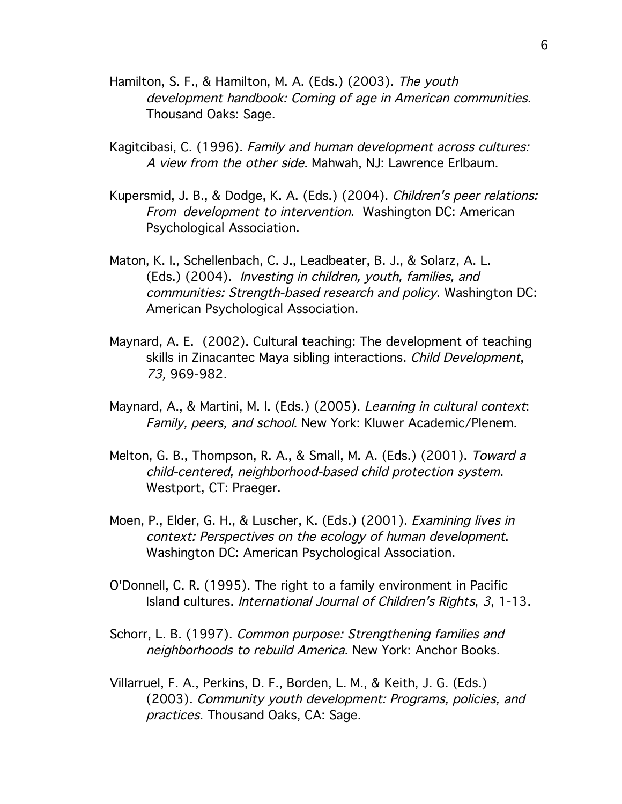- Hamilton, S. F., & Hamilton, M. A. (Eds.) (2003). The youth development handbook: Coming of age in American communities. Thousand Oaks: Sage.
- Kagitcibasi, C. (1996). Family and human development across cultures: A view from the other side. Mahwah, NJ: Lawrence Erlbaum.
- Kupersmid, J. B., & Dodge, K. A. (Eds.) (2004). Children's peer relations: From development to intervention. Washington DC: American Psychological Association.
- Maton, K. I., Schellenbach, C. J., Leadbeater, B. J., & Solarz, A. L. (Eds.) (2004). Investing in children, youth, families, and communities: Strength-based research and policy. Washington DC: American Psychological Association.
- Maynard, A. E. (2002). Cultural teaching: The development of teaching skills in Zinacantec Maya sibling interactions. Child Development, 73, 969-982.
- Maynard, A., & Martini, M. I. (Eds.) (2005). Learning in cultural context: Family, peers, and school. New York: Kluwer Academic/Plenem.
- Melton, G. B., Thompson, R. A., & Small, M. A. (Eds.) (2001). Toward <sup>a</sup> child-centered, neighborhood-based child protection system. Westport, CT: Praeger.
- Moen, P., Elder, G. H., & Luscher, K. (Eds.) (2001). Examining lives in context: Perspectives on the ecology of human development. Washington DC: American Psychological Association.
- O'Donnell, C. R. (1995). The right to a family environment in Pacific Island cultures. International Journal of Children's Rights, 3, 1-13.
- Schorr, L. B. (1997). Common purpose: Strengthening families and neighborhoods to rebuild America. New York: Anchor Books.
- Villarruel, F. A., Perkins, D. F., Borden, L. M., & Keith, J. G. (Eds.) (2003). Community youth development: Programs, policies, and practices. Thousand Oaks, CA: Sage.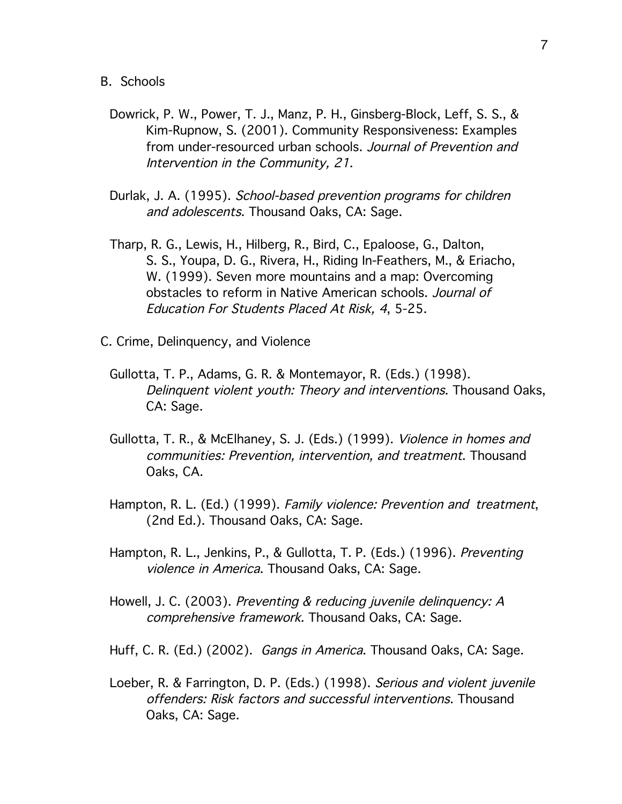- B. Schools
	- Dowrick, P. W., Power, T. J., Manz, P. H., Ginsberg-Block, Leff, S. S., & Kim-Rupnow, S. (2001). Community Responsiveness: Examples from under-resourced urban schools. Journal of Prevention and Intervention in the Community, 21.
	- Durlak, J. A. (1995). School-based prevention programs for children and adolescents. Thousand Oaks, CA: Sage.
	- Tharp, R. G., Lewis, H., Hilberg, R., Bird, C., Epaloose, G., Dalton, S. S., Youpa, D. G., Rivera, H., Riding In-Feathers, M., & Eriacho, W. (1999). Seven more mountains and a map: Overcoming obstacles to reform in Native American schools. Journal of Education For Students Placed At Risk, 4, 5-25.
- C. Crime, Delinquency, and Violence
	- Gullotta, T. P., Adams, G. R. & Montemayor, R. (Eds.) (1998). Delinquent violent youth: Theory and interventions. Thousand Oaks, CA: Sage.
	- Gullotta, T. R., & McElhaney, S. J. (Eds.) (1999). Violence in homes and communities: Prevention, intervention, and treatment. Thousand Oaks, CA.
	- Hampton, R. L. (Ed.) (1999). Family violence: Prevention and treatment, (2nd Ed.). Thousand Oaks, CA: Sage.
	- Hampton, R. L., Jenkins, P., & Gullotta, T. P. (Eds.) (1996). Preventing violence in America. Thousand Oaks, CA: Sage.
	- Howell, J. C. (2003). Preventing & reducing juvenile delinquency: A comprehensive framework. Thousand Oaks, CA: Sage.
	- Huff, C. R. (Ed.) (2002). Gangs in America. Thousand Oaks, CA: Sage.
	- Loeber, R. & Farrington, D. P. (Eds.) (1998). Serious and violent juvenile offenders: Risk factors and successful interventions. Thousand Oaks, CA: Sage.